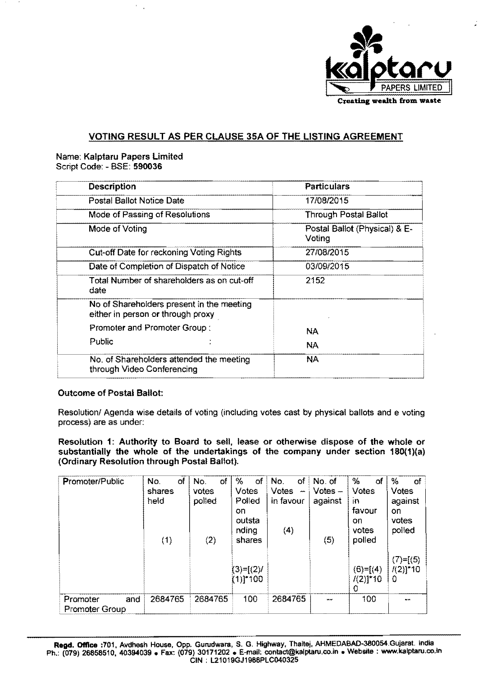

## VOTING RESULT AS PER CLAUSE 35A OF THE LISTING AGREEMENT

#### Name: Kalptaru Papers Limited Script Code: - BSE: 590036

 $\epsilon$ 

| <b>Description</b>                                                             | <b>Particulars</b>                      |  |  |  |  |
|--------------------------------------------------------------------------------|-----------------------------------------|--|--|--|--|
| Postal Ballot Notice Date                                                      | 17/08/2015                              |  |  |  |  |
| Mode of Passing of Resolutions                                                 | <b>Through Postal Ballot</b>            |  |  |  |  |
| Mode of Voting                                                                 | Postal Ballot (Physical) & E-<br>Voting |  |  |  |  |
| Cut-off Date for reckoning Voting Rights                                       | 27/08/2015                              |  |  |  |  |
| Date of Completion of Dispatch of Notice                                       | 03/09/2015                              |  |  |  |  |
| Total Number of shareholders as on cut-off<br>date                             | 2152                                    |  |  |  |  |
| No of Shareholders present in the meeting<br>either in person or through proxy |                                         |  |  |  |  |
| Promoter and Promoter Group:                                                   | <b>NA</b>                               |  |  |  |  |
| Public                                                                         | <b>NA</b>                               |  |  |  |  |
| No. of Shareholders attended the meeting<br>through Video Conferencing         | NA.                                     |  |  |  |  |

## Outcome of Postal Ballot:

Resolution/ Agenda wise details of voting (including votes cast by physical ballots and e voting process) are as under:

Resolution 1: Authority to Board to sell, lease or otherwise dispose of the whole or substantially the whole of the undertakings of the company under section 180(1)(a) (Ordinary Resolution through Postal Ballot).

| Promoter/Public                          | ΟŤ<br>No.<br>%<br>No.<br>οf<br>shares<br>votes<br>polled<br>held<br>on<br>(2)<br>(1) |         | оf<br>Votes<br>Polled<br>outsta<br>nding<br>shares | оf<br>No. of<br>No.<br>Votes-<br><b>Votes</b><br>$\cdots$<br>in favour<br>against<br>(4)<br>(5) |  | $\%$<br><b>of</b><br>Votes<br><b>in</b><br>favour<br>on<br>votes<br>polled | $\%$<br>of<br>Votes<br>against<br>on.<br>votes<br>polled |
|------------------------------------------|--------------------------------------------------------------------------------------|---------|----------------------------------------------------|-------------------------------------------------------------------------------------------------|--|----------------------------------------------------------------------------|----------------------------------------------------------|
|                                          |                                                                                      |         | $(3)=[(2)/$<br>$(1)!$ *100                         |                                                                                                 |  | $(6) = [(4)$<br>$1(2)]*10$<br>0                                            | $(7)=[(5)$<br>$1(2)$ * 10<br>-0                          |
| Promoter<br>and<br><b>Promoter Group</b> | 2684765                                                                              | 2684765 | 100                                                | 2684765                                                                                         |  | 100                                                                        |                                                          |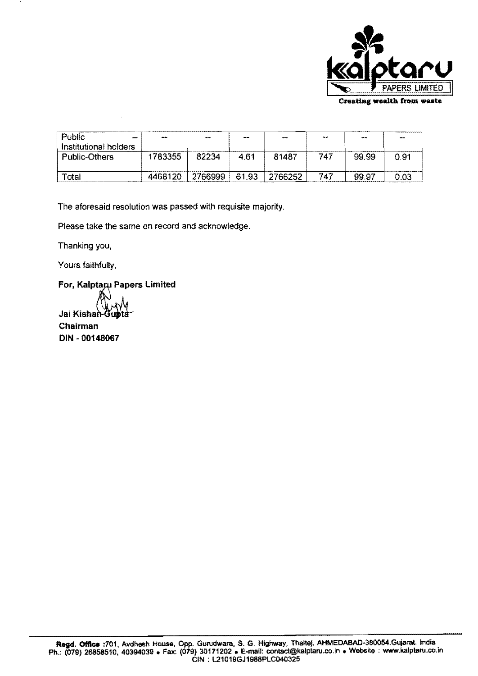

| Public<br>Institutional holders | <b>SECTION</b> | $-1$    | $- -$ | $\overline{\phantom{a}}$ | 444.000 | الموهب | <b>Service</b> |
|---------------------------------|----------------|---------|-------|--------------------------|---------|--------|----------------|
| Public-Others                   | 1783355        | 82234   | 4.61  | 81487                    | 747     | 99.99  | 0.91           |
| $\mathsf{r}_{\mathsf{otal}}$    | 4468120        | 2766999 | 61.93 | 2766252                  | 747     | 99.97  | ก กว           |

The aforesaid resolution was passed with requisite majority.

Please take the same on record and acknowledge.

Thanking you,

Yours faithfully,

For, Kalptaru Papers Limited

Jai Kishai Chairman DIN - 00148067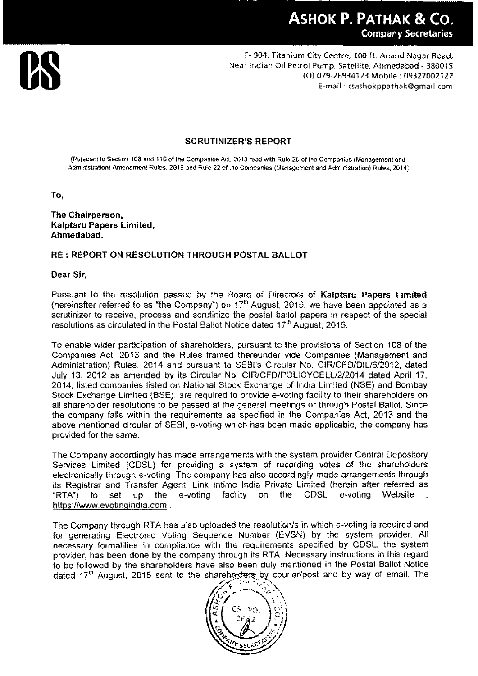

F- 904, Titanium City Centre, 100 ft. Anand Nagar Road,<br>Near Indian Oil Petrol Pump, Satellite, Ahmedabad - 380015<br>(0) 079-26934123 Mobile : 09327002122<br>E-mail · csashokppathak@gmail.com (0) 079-26934123 Mobile: 09327002122 E-mail ·csashokppathak@gmail.com

## SCRUTINIZER'S REPORT

{Pursuant to Section 108 and 110 of the Companies Act, 2013 read with Rule 20 of the Companies (Management and Administration) Amendment Rules, 2015 and Rule 22 of the Companies (Management and Administration) Rules, 20141

To,

The Chairperson, Kalptaru Papers Limited, Ahmedabad,

## RE; REPORT ON RESOLUTION THROUGH POSTAL BALLOT

#### Dear Sir,

Pursuant to the resolution passed by the Board of Directors of Kalptaru Papers Limited (hereinafter referred to as "the Company") on  $17<sup>th</sup>$  August, 2015, we have been appointed as a scrutinizer to receive, process and scrutinize the postal ballot papers in respect of the special resolutions as circulated in the Postal Ballot Notice dated 17<sup>th</sup> August, 2015.

To enable wider participation of shareholders, pursuant to the provisions of Section 108 of the Companies Act, 2013 and the Rules framed thereunder vide Companies (Management and Administration) Rules, 2014 and pursuant to SEBI's Circular No. CIR/CFD/DIL/6/2012, dated July 13, 2012 as amended by its Circular No. CIR/CFD/POLICYCELL/2/2014 dated April 17, 2014, listed companies listed on National Stock Exchange of India Limited (NSE) and Bombay Stock Exchange Limited (BSE), are required to provide e-voting facility to their shareholders on all shareholder resolutions to be passed at the general meetings or through Postal Ballot. Since the company falls within the requirements as specified in the Companies Act, 2013 and the above mentioned circular of SEBI, e-voting which has been made applicable, the company has provided for the same.

The Company accordingly has made arrangements with the system provider Central Depository Services Limited (CDSL) for providing a system of recording votes of the Shareholders electronically through e-voting. The company has also accordingly made arrangements through its Registrar and Transfer Agent, Link Intime India Private Limited (herein after referred as "RTA") to set up the e-voting facility on the CDSL e-voting Website https://www.evotingindia.com.

The Company through RTA has also uploaded the resolution/s in which e-voting is required and for generating Electronic Voting Sequence Number (EVSN) by the system provider. All necessary formalities in compliance with the requirements specified by CDSL, the system provider, has been done by the company through its RTA Necessary instructions in this regard to be followed by the shareholders have also been duly mentioned in the Postal Ballot Notice dated 17<sup>th</sup> August, 2015 sent to the shareholders by courier/post and by way of email. The dated 17<sup>th</sup> August, 2015 sent to the shareholders by courier/post and by way of email. The

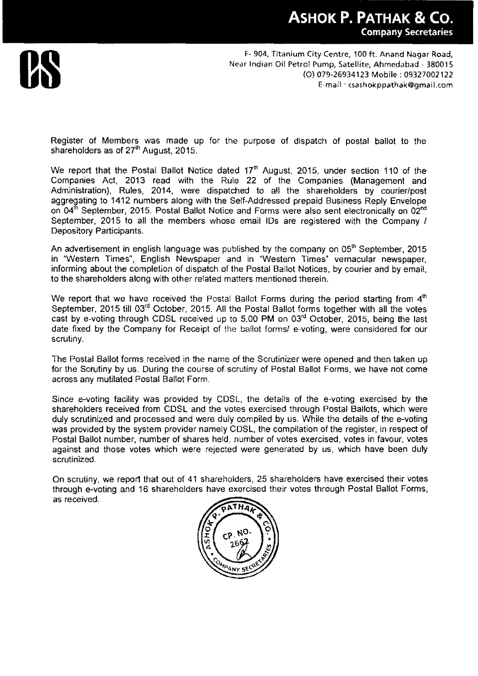# **ASHOK P. PATHAK &CO.**  Company Secretaries



F- 904, Titanium City Centre, 100 ft. Anand Nagar Road,<br>Near Indian Oil Petrol Pump, Satellite, Ahmedabad - 380015<br>(0) 079-26934123 Mobile : 09327002122<br>E-mail : csashokppathak@gmail.com (0) 079-26934123 Mobile: 09327002122 E-mail ·csashokppathak@gmail.com

Register of Members was made up for the purpose of dispatch of postal ballot to the shareholders as of  $27<sup>th</sup>$  August, 2015.

We report that the Postal Ballot Notice dated 17<sup>th</sup> August, 2015, under section 110 of the Companies Act, 2013 read with the Rule 22 of the Companies (Management and Administration), Rules, 2014, were dispatched to all the shareholders by courier/post aggregating to 1412 numbers along with the Self-Addressed prepaid Business Reply Envelope on 04<sup>th</sup> September, 2015. Postal Ballot Notice and Forms were also sent electronically on 02<sup>nd</sup> September, 2015 to all the members whose email IDs are registered with the Company / Depository Participants.

An advertisement in english language was published by the company on 05<sup>th</sup> September, 2015 in "Western Times", English Newspaper and in "Western Times" vernacular newspaper, informing about the completion of dispatch of the Postal Ballot Notices, by courier and by email, to the shareholders along with other related matters mentioned therein.

We report that we have received the Postal Ballot Forms during the period starting from  $4<sup>th</sup>$ September, 2015 till 03<sup>rd</sup> October, 2015. All the Postal Ballot forms together with all the votes cast by e-voting through CDSL received up to 5.00 PM on 03<sup>rd</sup> October, 2015, being the last date fixed by the Company for Receipt of the ballot forms/ e-voting, were considered for our scrutiny.

The Postal Ballot forms received in the name of the Scrutinizer were opened and then taken up for the Scrutiny by us. During the course of scrutiny of Postal Ballot Forms, we have not come across any mutilated Postal Ballot Form.

Since e-voting facility was provided by CDSL, the details of the e-voting exercised by the shareholders received from CDSL and the votes exercised through Postal Ballots, which were duly scrutinized and processed and were duly compiled by us. While the details of the e-voting was provided by the system provider namely CDSL, the compilation of the register, in respect of Postal Ballot number, number of shares held, number of votes exercised, votes in favour, votes against and those votes which were rejected were generated by us, which have been duly scrutinized.

On scrutiny, we report that out of 41 shareholders, 25 shareholders have exercised their votes through e-voting and 16 shareholders have exercised their votes through Postal Ballot Forms, as received.

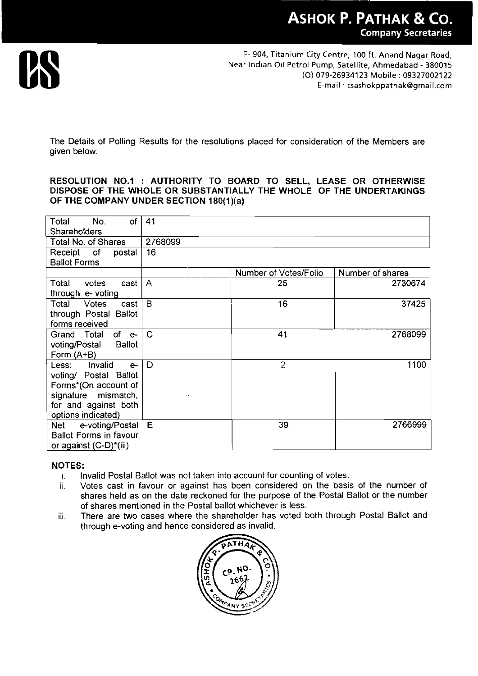

The Details of Polling Results for the resolutions placed for consideration of the Members are given below:

#### **RESOLUTION NO.1 : AUTHORITY TO BOARD TO SELL, LEASE OR OTHERWISE DISPOSE OF THE WHOLE OR SUBSTANTIALLY T HE WHOLE OF THE UNDERTAKINGS OF THE COMPANY UNDER SECTION 1BO(1)(a)**

| Total<br>of<br>No.                                                                                                                             | 41           |                       |                  |
|------------------------------------------------------------------------------------------------------------------------------------------------|--------------|-----------------------|------------------|
| Shareholders                                                                                                                                   |              |                       |                  |
| Total No. of Shares                                                                                                                            | 2768099      |                       |                  |
| Receipt<br>of<br>postal<br><b>Ballot Forms</b>                                                                                                 | 16           |                       |                  |
|                                                                                                                                                |              | Number of Votes/Folio | Number of shares |
| Total<br>votes<br>cast<br>through e- voting                                                                                                    | $\mathsf{A}$ | 25                    | 2730674          |
| Total<br><b>Votes</b><br>cast<br>through Postal Ballot<br>forms received                                                                       | B            | 16                    | 37425            |
| of e-<br>Grand Total<br>voting/Postal<br><b>Ballot</b><br>Form (A+B)                                                                           | $\mathbf C$  | 41                    | 2768099          |
| Invalid<br>Less:<br>$e-$<br>voting/ Postal Ballot<br>Forms*(On account of<br>signature mismatch,<br>for and against both<br>options indicated) | D            | $\overline{c}$        | 1100             |
| e-voting/Postal<br>Net<br><b>Ballot Forms in favour</b><br>or against (C-D)*(iii)                                                              | E            | 39                    | 2766999          |

## **NOTES:**

- i. Invalid Postal Ballot was not taken into account for counting of votes.
- ii. Votes cast in favour or against has been considered on the basis of the number of shares held as on the date reckoned for the purpose of the Postal Ballot or the number of shares mentioned in the Postal ballot whichever is less.
- iii. There are two cases where the shareholder has voted both through Postal Ballot and through e-voting and hence considered as invalid.

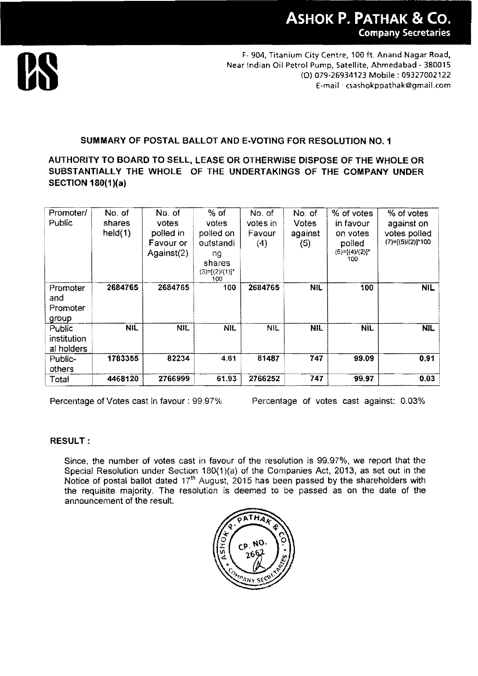

F- 904, Titanium City Centre, 100 ft. Anand Nagar Road, **us** Near Indian Oil Petrol Pump, Satellite, Ahmedabad - <sup>380015</sup> (0) 079-26934123 Mobile: 09327002122 f-mail ' csashokppathak@gmaiLcom

## SUMMARY OF POSTAL BALLOT AND E·VOTING FOR RESOLUTION NO.1

## AUTHORITY TO BOARD TO SELL, LEASE OR OTHERWISE DISPOSE OF THE WHOLE OR SUBSTANTIALLY THE WHOLE OF THE UNDERTAKINGS OF THE COMPANY UNDER SECTION 1S0(1)(a)

| Promoter/<br>Public                  | No. of<br>shares<br>held(1) | No. of<br>votes<br>polled in<br>Favour or<br>Against(2) | $%$ of<br>votes<br>polled on<br>outstandi<br>ng<br>shares<br>$(3)=[(2)/(1)]^*$<br>100 | No. of<br>votes in<br>Favour<br>(4) | No. of<br><b>Votes</b><br>against<br>(5) | % of votes<br>in favour<br>on votes<br>polled<br>$(6)=[(4)/(2)]$ *<br>100 | % of votes<br>against on<br>votes polled<br>$(7)=[(5)/(2)]$ *100 |
|--------------------------------------|-----------------------------|---------------------------------------------------------|---------------------------------------------------------------------------------------|-------------------------------------|------------------------------------------|---------------------------------------------------------------------------|------------------------------------------------------------------|
| Promoter<br>and<br>Promoter<br>group | 2684765                     | 2684765                                                 | 100                                                                                   | 2684765                             | <b>NIL</b>                               | 100                                                                       | <b>NIL</b>                                                       |
| Public<br>institution<br>al holders  | <b>NIL</b>                  | NIL.                                                    | <b>NIL</b>                                                                            | <b>NIL</b>                          | <b>NIL</b>                               | NIL.                                                                      | <b>NIL</b>                                                       |
| Public-<br>others                    | 1783355                     | 82234                                                   | 4.61                                                                                  | 81487                               | 747                                      | 99.09                                                                     | 0.91                                                             |
| Total                                | 4468120                     | 2766999                                                 | 61.93                                                                                 | 2766252                             | 747                                      | 99.97                                                                     | 0.03                                                             |

Percentage of Votes cast in favour: 99.97% Percentage of votes cast against: 0.03%

## RESULT:

Since, the number of votes cast in favour of the resolution is 99.97%, we report that the Special Resolution under Section 180(1)(a) of the Companies Act, 2013, as set out in the Notice of postal ballot dated 17<sup>th</sup> August, 2015 has been passed by the shareholders with the requisite majority. The resolution is deemed to be passed as on the date of the announcement of the result.